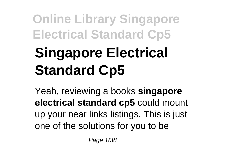# **Singapore Electrical Standard Cp5**

Yeah, reviewing a books **singapore electrical standard cp5** could mount up your near links listings. This is just one of the solutions for you to be

Page 1/38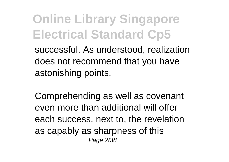**Online Library Singapore Electrical Standard Cp5** successful. As understood, realization does not recommend that you have

astonishing points.

Comprehending as well as covenant even more than additional will offer each success. next to, the revelation as capably as sharpness of this Page 2/38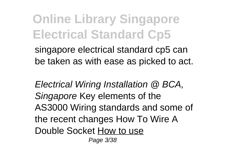singapore electrical standard cp5 can be taken as with ease as picked to act.

Electrical Wiring Installation @ BCA, Singapore Key elements of the AS3000 Wiring standards and some of the recent changes How To Wire A Double Socket How to use

Page 3/38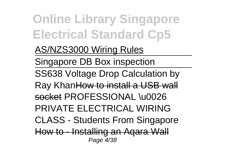#### AS/NZS3000 Wiring Rules

Singapore DB Box inspection

SS638 Voltage Drop Calculation by

Ray KhanHow to install a USB wall socket PROFESSIONAL \u0026 PRIVATE ELECTRICAL WIRING

CLASS - Students From Singapore

How to - Installing an Aqara Wall Page 4/38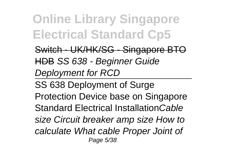Switch - UK/HK/SG - Singapore BTO HDB SS 638 - Beginner Guide Deployment for RCD

SS 638 Deployment of Surge Protection Device base on Singapore Standard Electrical InstallationCable size Circuit breaker amp size How to calculate What cable Proper Joint of Page 5/38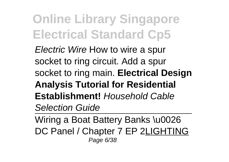Electric Wire How to wire a spur socket to ring circuit. Add a spur socket to ring main. **Electrical Design Analysis Tutorial for Residential Establishment!** Household Cable Selection Guide

Wiring a Boat Battery Banks \u0026 DC Panel / Chapter 7 EP 2LIGHTING Page 6/38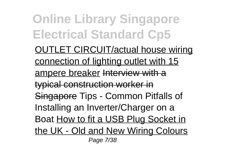OUTLET CIRCUIT/actual house wiring connection of lighting outlet with 15 ampere breaker Interview with a typical construction worker in Singapore Tips - Common Pitfalls of Installing an Inverter/Charger on a Boat How to fit a USB Plug Socket in the UK - Old and New Wiring Colours Page 7/38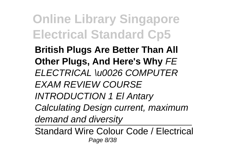**British Plugs Are Better Than All Other Plugs, And Here's Why** FE ELECTRICAL \u0026 COMPUTER EXAM REVIEW COURSE INTRODUCTION 1 El Antary Calculating Design current, maximum demand and diversity

Standard Wire Colour Code / Electrical Page 8/38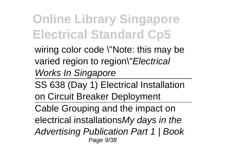wiring color code \"Note: this may be varied region to region\"Electrical Works In Singapore

SS 638 (Day 1) Electrical Installation on Circuit Breaker Deployment

Cable Grouping and the impact on electrical installationsMy days in the Advertising Publication Part 1 | Book Page 9/38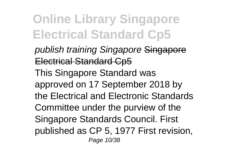publish training Singapore Singapore Electrical Standard Cp5 This Singapore Standard was approved on 17 September 2018 by the Electrical and Electronic Standards Committee under the purview of the Singapore Standards Council. First published as CP 5, 1977 First revision, Page 10/38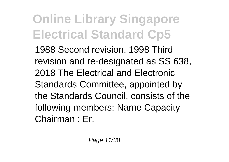1988 Second revision, 1998 Third revision and re-designated as SS 638, 2018 The Electrical and Electronic Standards Committee, appointed by the Standards Council, consists of the following members: Name Capacity Chairman : Er.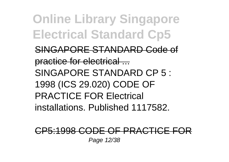SINGAPORE STANDARD Code of practice for electrical ... SINGAPORE STANDARD CP 5 : 1998 (ICS 29.020) CODE OF PRACTICE FOR Electrical installations. Published 1117582.

#### CP5:1998 CODE OF PRACTICE FOR Page 12/38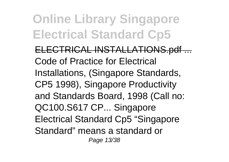ELECTRICAL INSTALLATIONS.pdf ... Code of Practice for Electrical Installations, (Singapore Standards, CP5 1998), Singapore Productivity and Standards Board, 1998 (Call no: QC100.S617 CP... Singapore Electrical Standard Cp5 "Singapore Standard" means a standard or Page 13/38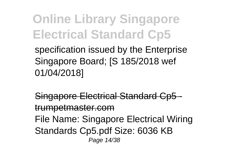specification issued by the Enterprise Singapore Board; [S 185/2018 wef 01/04/2018]

Singapore Electrical Standard Cp5 trumpetmaster.com File Name: Singapore Electrical Wiring Standards Cp5.pdf Size: 6036 KB Page 14/38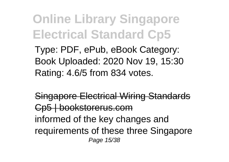Type: PDF, ePub, eBook Category: Book Uploaded: 2020 Nov 19, 15:30 Rating: 4.6/5 from 834 votes.

Singapore Electrical Wiring Standards Cp5 | bookstorerus.com informed of the key changes and requirements of these three Singapore Page 15/38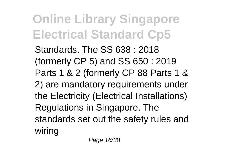Standards. The SS 638 : 2018 (formerly CP 5) and SS 650 : 2019 Parts 1 & 2 (formerly CP 88 Parts 1 & 2) are mandatory requirements under the Electricity (Electrical Installations) Regulations in Singapore. The standards set out the safety rules and wiring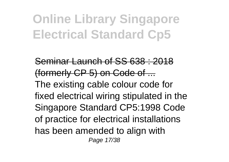Seminar Launch of SS 638 : 2018 (formerly CP 5) on Code of ... The existing cable colour code for fixed electrical wiring stipulated in the Singapore Standard CP5:1998 Code of practice for electrical installations has been amended to align with Page 17/38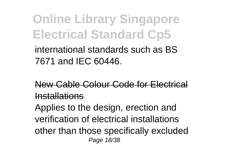international standards such as BS 7671 and IEC 60446.

New Cable Colour Code for Electrical Installations

Applies to the design, erection and verification of electrical installations other than those specifically excluded Page 18/38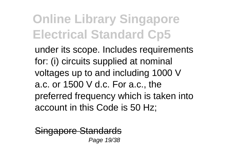under its scope. Includes requirements for: (i) circuits supplied at nominal voltages up to and including 1000 V a.c. or 1500 V d.c. For a.c., the preferred frequency which is taken into account in this Code is 50 Hz;

Singapore Standards Page 19/38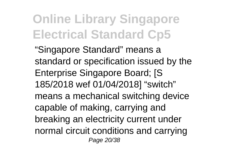"Singapore Standard" means a standard or specification issued by the Enterprise Singapore Board; [S 185/2018 wef 01/04/2018] "switch" means a mechanical switching device capable of making, carrying and breaking an electricity current under normal circuit conditions and carrying Page 20/38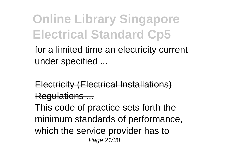for a limited time an electricity current under specified ...

Electricity (Electrical Installations) Regulations ...

This code of practice sets forth the minimum standards of performance, which the service provider has to Page 21/38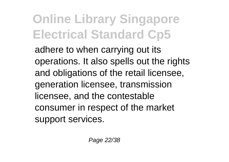adhere to when carrying out its operations. It also spells out the rights and obligations of the retail licensee, generation licensee, transmission licensee, and the contestable consumer in respect of the market support services.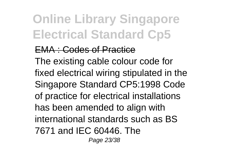#### EMA : Codes of Practice

The existing cable colour code for fixed electrical wiring stipulated in the Singapore Standard CP5:1998 Code of practice for electrical installations has been amended to align with international standards such as BS 7671 and IEC 60446. The Page 23/38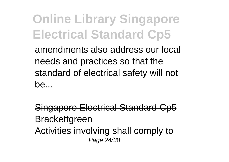amendments also address our local needs and practices so that the standard of electrical safety will not be...

Singapore Electrical Standard Cp5 **Brackettgreen** Activities involving shall comply to Page 24/38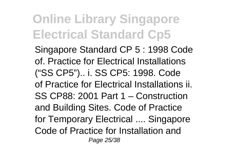Singapore Standard CP 5 : 1998 Code of. Practice for Electrical Installations ("SS CP5").. i. SS CP5: 1998. Code of Practice for Electrical Installations ii. SS CP88: 2001 Part 1 – Construction and Building Sites. Code of Practice for Temporary Electrical .... Singapore Code of Practice for Installation and Page 25/38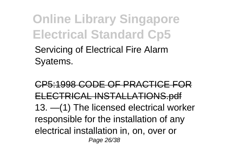Servicing of Electrical Fire Alarm Syatems.

CP5:1998 CODE OF PRACTICE FOR ELECTRICAL INSTALLATIONS.pdf 13. —(1) The licensed electrical worker responsible for the installation of any electrical installation in, on, over or Page 26/38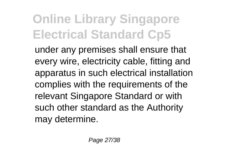under any premises shall ensure that every wire, electricity cable, fitting and apparatus in such electrical installation complies with the requirements of the relevant Singapore Standard or with such other standard as the Authority may determine.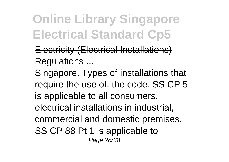**Electricity (Electrical Installations)** Regulations ...

Singapore. Types of installations that require the use of. the code. SS CP 5 is applicable to all consumers. electrical installations in industrial, commercial and domestic premises. SS CP 88 Pt 1 is applicable to Page 28/38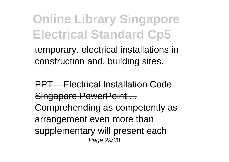temporary. electrical installations in construction and. building sites.

PPT – Electrical Installation Code Singapore PowerPoint ... Comprehending as competently as arrangement even more than supplementary will present each Page 29/38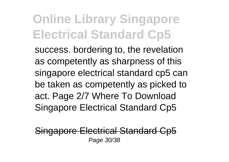success. bordering to, the revelation as competently as sharpness of this singapore electrical standard cp5 can be taken as competently as picked to act. Page 2/7 Where To Download Singapore Electrical Standard Cp5

Singapore Electrical Standard C Page 30/38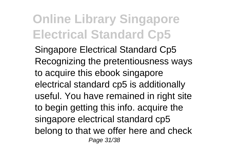Singapore Electrical Standard Cp5 Recognizing the pretentiousness ways to acquire this ebook singapore electrical standard cp5 is additionally useful. You have remained in right site to begin getting this info. acquire the singapore electrical standard cp5 belong to that we offer here and check Page 31/38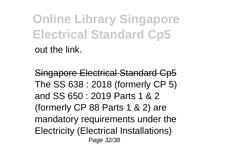**Online Library Singapore Electrical Standard Cp5** out the link.

Singapore Electrical Standard Cp5 The SS 638 : 2018 (formerly CP 5) and SS 650 : 2019 Parts 1 & 2 (formerly CP 88 Parts 1 & 2) are mandatory requirements under the Electricity (Electrical Installations) Page 32/38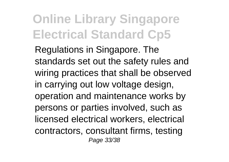Regulations in Singapore. The standards set out the safety rules and wiring practices that shall be observed in carrying out low voltage design, operation and maintenance works by persons or parties involved, such as licensed electrical workers, electrical contractors, consultant firms, testing Page 33/38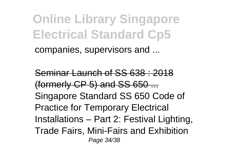companies, supervisors and ...

Seminar Launch of SS 638 : 2018 (formerly CP 5) and SS 650 ... Singapore Standard SS 650 Code of Practice for Temporary Electrical Installations – Part 2: Festival Lighting, Trade Fairs, Mini-Fairs and Exhibition Page 34/38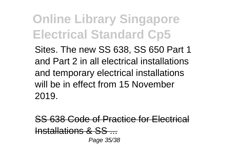Sites. The new SS 638, SS 650 Part 1 and Part 2 in all electrical installations and temporary electrical installations will be in effect from 15 November 2019.

SS 638 Code of Practice for Electri Installations & SS ...

Page 35/38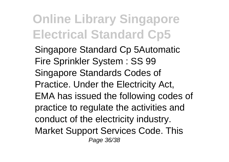Singapore Standard Cp 5Automatic Fire Sprinkler System : SS 99 Singapore Standards Codes of Practice. Under the Electricity Act, EMA has issued the following codes of practice to regulate the activities and conduct of the electricity industry. Market Support Services Code. This Page 36/38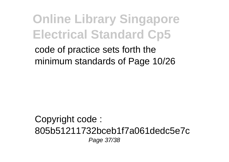code of practice sets forth the minimum standards of Page 10/26

Copyright code : 805b51211732bceb1f7a061dedc5e7c Page 37/38